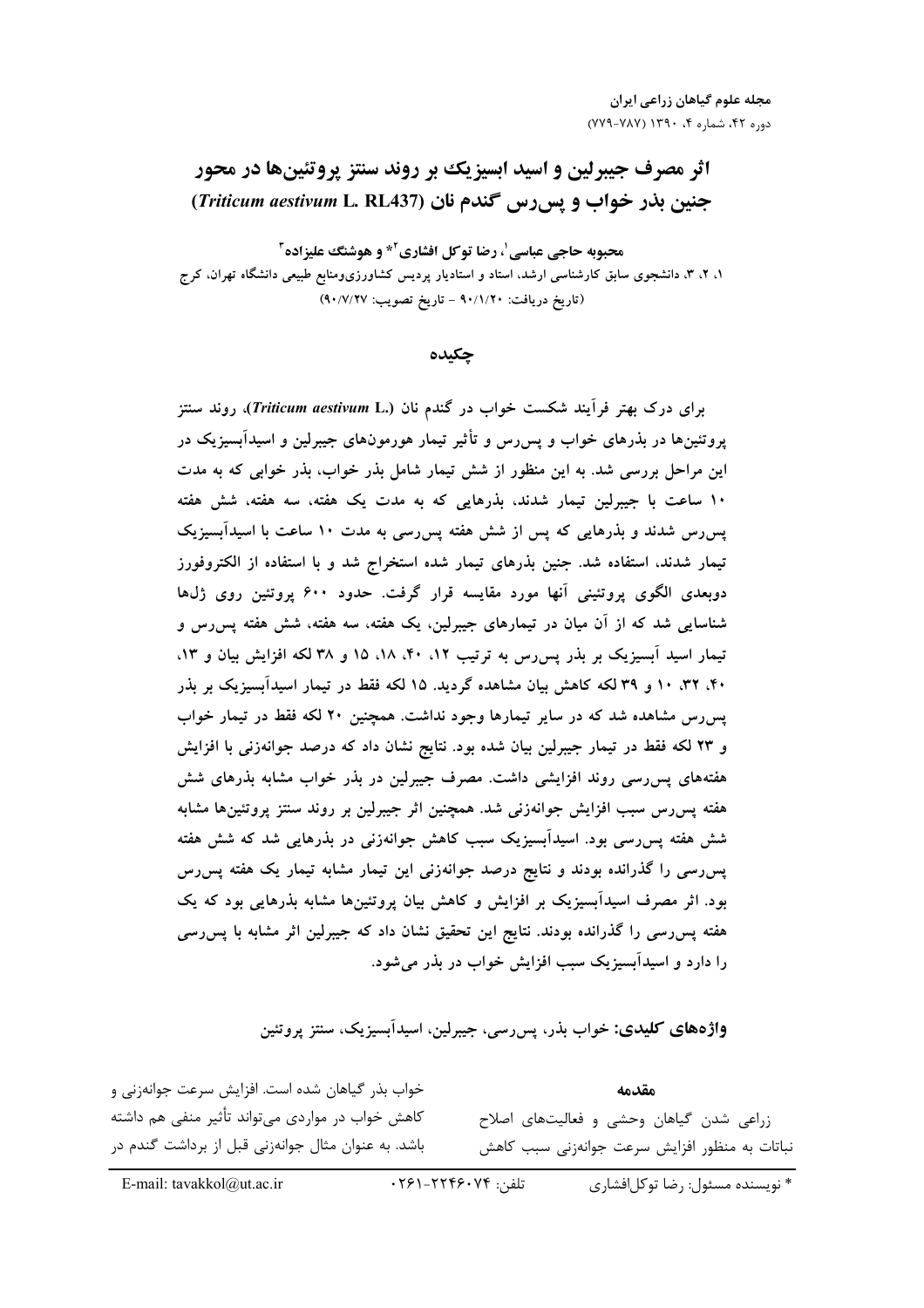# **اثر مصرف جیبرلین و اسید ابسیزیک بر روند سنتز پروتئینها در محور** جنین بذر خواب و پس رس گندم نان (Triticum aestivum L. RL437)

محبوبه حاجي عباسي'، رضا توكل افشاري<sup>2\*</sup> و هوشنگ عليزاده<sup>1</sup> ۱، ۲، ۳، دانشجوی سابق کارشناسی ارشد، استاد و استادیار پردیس کشاورزیومنابع طبیعی دانشگاه تهران، کرج (تاريخ دريافت: ٩٠/١/٢٠ - تاريخ تصويب: ٩٠/٧/٢٧)

چکیده

برای درک بهتر فرآیند شکست خواب در گندم نان (.Triticum aestivum L)، روند سنتز پروتئینها در بذرهای خواب و پس رس و تأثیر تیمار هورمونهای جیبرلین و اسیدآبسیزیک در این مراحل بررسی شد. به این منظور از شش تیمار شامل بذر خواب، بذر خوابی که به مدت ۱۰ ساعت با جیبرلین تیمار شدند، بذرهایی که به مدت یک هفته، سه هفته، شش هفته یس رس شدند و بذرهایی که پس از شش هفته پس رسی به مدت ۱۰ ساعت با اسیدآبسیزیک تیمار شدند، استفاده شد. جنین بذرهای تیمار شده استخراج شد و با استفاده از الکتروفورز دوبعدی الگوی پروتئینی آنها مورد مقایسه قرار گرفت. حدود ۶۰۰ پروتئین روی ژلها شناسایی شد که از آن میان در تیمارهای جیبرلین، یک هفته، سه هفته، شش هفته پس رس و تیمار اسید آبسیزیک بر بذر پس رس به ترتیب ۰٫۲ ،۱۸ ،۱۸ و ۳۸ لکه افزایش بیان و ۱۳، ۴۰، ۳۲، ۱۰ و ۳۹ لکه کاهش بیان مشاهده گردید. ۱۵ لکه فقط در تیمار اسیدآبسیزیک بر بذر پسرس مشاهده شد که در سایر تیمارها وجود نداشت. همچنین ۲۰ لکه فقط در تیمار خواب و ۲۳ لکه فقط در تیمار جیبرلین بیان شده بود. نتایج نشان داد که درصد جوانهزنی با افزایش هفتههای پس رسی روند افزایشی داشت. مصرف جیبرلین در بذر خواب مشابه بذرهای شش هفته پسررس سبب افزایش جوانهزنی شد. همچنین اثر جیبرلین بر روند سنتز پروتئینها مشابه شش هفته پسررسی بود. اسیدآبسیزیک سبب کاهش جوانهزنی در بذرهایی شد که شش هفته پسرسی را گذرانده بودند و نتایج درصد جوانهزنی این تیمار مشابه تیمار یک هفته پسرس بود. اثر مصرف اسیدآبسیزیک بر افزایش و کاهش بیان پروتئینها مشابه بذرهایی بود که یک هفته پسررسی را گذرانده بودند. نتایج این تحقیق نشان داد که جیبرلین اثر مشابه با پس رسی را دارد و اسیدآبستزیک سبب افزایش خواب در بذر می شود.

**واژههای کلیدی: خ**واب بذر، پس رسی، جیبرلین، اسیدآبسیزیک، سنتز پروتئین

خواب بذر گیاهان شده است. افزایش سرعت جوانهزنی و مقدمه کاهش خواب در مواردی میتواند تأثیر منفی هم داشته زراعی شدن گیاهان وحشی و فعالیتهای اصلاح باشد. به عنوان مثال جوانهزنی قبل از برداشت گندم در نباتات به منظور افزایش سرعت جوانهزنی سبب کاهش

تلفن: ۲۴۶۱-۲۲۴۶۰۷۴. \* نویسنده مسئول: ,ضا توکل افشاری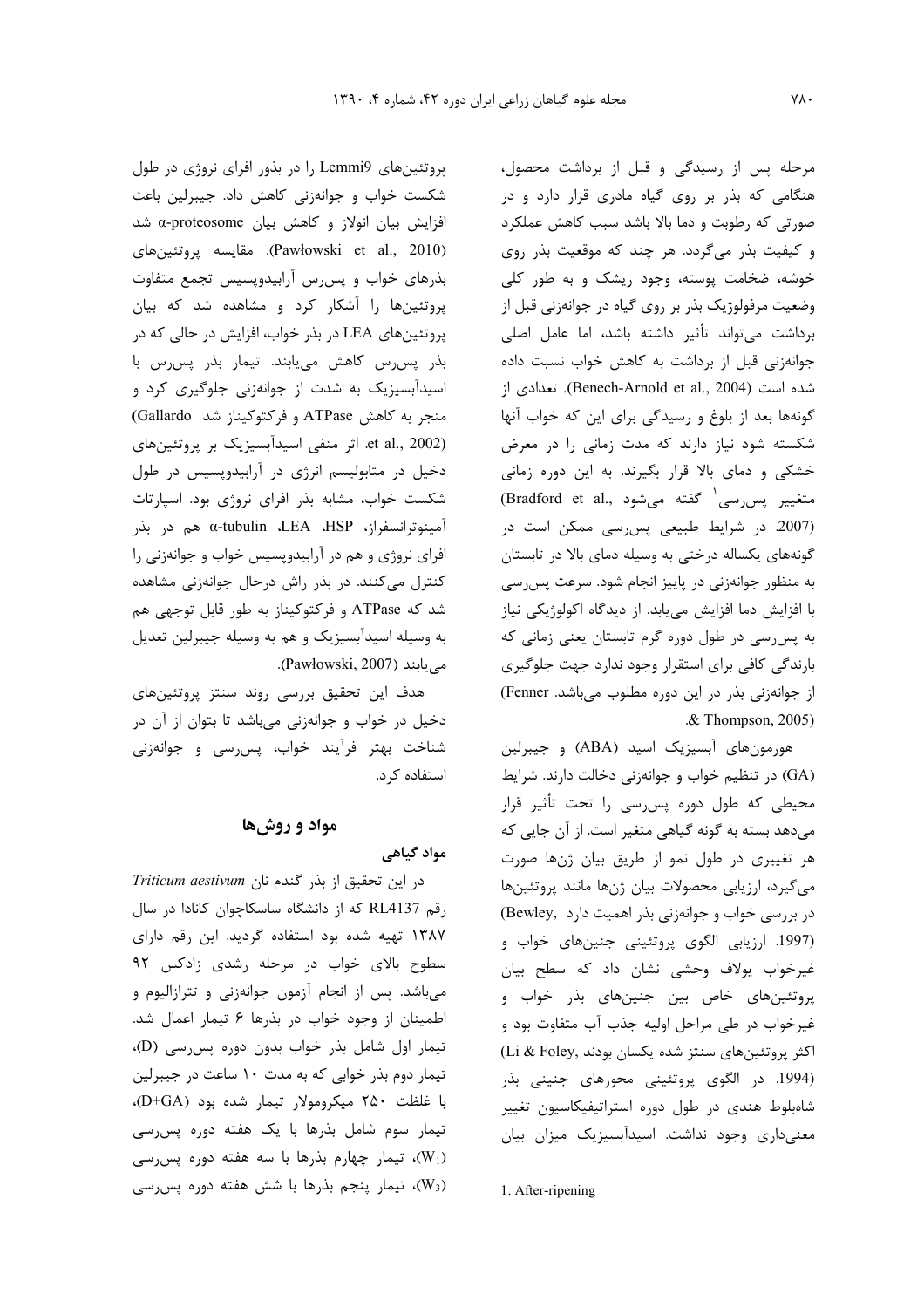مرحله پس از رسیدگی و قبل از برداشت محصول، هنگامی که بذر بر روی گیاه مادری قرار دارد و در صورتی که رطوبت و دما بالا باشد سبب کاهش عملکرد و کیفیت بذر میگردد. هر چند که موقعیت بذر روی خوشه، ضخامت پوسته، وجود ریشک و به طور کلی وضعیت مرفولوژیک بذر بر روی گیاه در جوانهزنی قبل از برداشت می تواند تأثیر داشته باشد، اما عامل اصلی جوانهزنی قبل از برداشت به کاهش خواب نسبت داده شده است (Benech-Arnold et al., 2004). تعدادی از گونهها بعد از بلوغ و رسیدگی برای این که خواب آنها شکسته شود نیاز دارند که مدت زمانی را در معرض خشکی و دمای بالا قرار بگیرند. به این دوره زمانی متغيير پس رسي<sup>(</sup> گفته مي شود ,Bradford et al) (2007. در شرایط طبیعی پس رسی ممکن است در گونههای یکساله درختی به وسیله دمای بالا در تابستان به منظور جوانهزنی در پاییز انجام شود. سرعت پس رسی با افزایش دما افزایش می،پابد. از دیدگاه اکولوژیکی نیاز به پس رسی در طول دوره گرم تابستان یعنی زمانی که بارندگی کافی برای استقرار وجود ندارد جهت جلوگیری از جوانهزنی بذر در این دوره مطلوب میباشد. Fenner) & Thompson, 2005).

هورمونهای آبسیزیک اسید (ABA) و جیبرلین (GA) در تنظیم خواب و جوانهزنی دخالت دارند. شرایط محیطی که طول دوره پس رسی را تحت تأثیر قرار می دهد بسته به گونه گیاهی متغیر است. از آن جایی که هر تغییری در طول نمو از طریق بیان ژنها صورت میگیرد، ارزیابی محصولات بیان ژنها مانند پروتئینها در بررسی خواب و جوانهزنی بذر اهمیت دارد .(Bewley) (1997. ارزیابی الگوی پروتئینی جنینهای خواب و غیرخواب یولاف وحشی نشان داد که سطح بیان یروتئینهای خاص بین جنینهای بذر خواب و غیرخواب در طی مراحل اولیه جذب آب متفاوت بود و اكثر پروتئينهاى سنتز شده يكسان بودند ,Li & Foley (1994. در الگوی پروتئینی محورهای جنینی بذر شاهبلوط هندی در طول دوره استراتیفیکاسیون تغییر معنیداری وجود نداشت. اسیدآبسیزیک میزان بیان

1. After-ripening

پروتئینهای Lemmi9 را در بذور افرای نروژی در طول شکست خواب و جوانهزنی کاهش داد. جیبرلین باعث افزایش بیان انولاز و کاهش بیان α-proteosome شد (Pawłowski et al., 2010). مقايسه پروتئينهاي بذرهای خواب و پس رس آرابیدوپسیس تجمع متفاوت پروتئینها را آشکار کرد و مشاهده شد که بیان پروتئینهای LEA در بذر خواب، افزایش در حالی که در بذر پس رس كاهش مى يابند. تيمار بذر پس رس با اسیدآبسیزیک به شدت از جوانهزنی جلوگیری کرد و منجر به كاهش ATPase و فركتوكيناز شد Gallardo) et al., 2002). اثر منفی اسیدآبسیزیک بر پروتئینهای دخیل در متابولیسم انرژی در آرابیدوپسیس در طول شکست خواب، مشابه بذر افرای نروژی بود. اسپارتات آمينوترانسفراز، a-tubulin ،LEA ،HSP هم در بذر افرای نروژی و هم در آرابیدویسیس خواب و جوانهزنی را کنترل میکنند. در بذر راش درحال جوانهزنی مشاهده شد که ATPase و فرکتوکیناز به طور قابل توجهی هم به وسیله اسیدآبسیزیک و هم به وسیله جیبرلین تعدیل می یابند (Pawłowski, 2007).

هدف این تحقیق بررسی روند سنتز پروتئینهای دخیل در خواب و جوانهزنی میباشد تا بتوان از آن در شناخت بهتر فرآيند خواب، پس رسي و جوانهزني استفاده کرد.

## مواد و روشها

### مواد گیاهی

در این تحقیق از بذر گندم نان Triticum aestivum رقم RL4137 که از دانشگاه ساسکاچوان کانادا در سال ۱۳۸۷ تهیه شده بود استفاده گردید. این رقم دارای سطوح بالای خواب در مرحله رشدی زادکس ۹۲ میباشد. پس از انجام آزمون جوانهزنی و تترازالیوم و اطمينان از وجود خواب در بذرها ۶ تيمار اعمال شد. تیمار اول شامل بذر خواب بدون دوره پس رسی (D)، تیمار دوم بذر خوابی که به مدت ١٠ ساعت در جيبرلين با غلظت ۲۵۰ میکرومولار تیمار شده بود (D+GA)، تیمار سوم شامل بذرها با یک هفته دوره پس رسی (W1)، تیمار چهارم بذرها با سه هفته دوره پس رسی بیمار پنجم بذرها با شش هفته دوره پس رسی»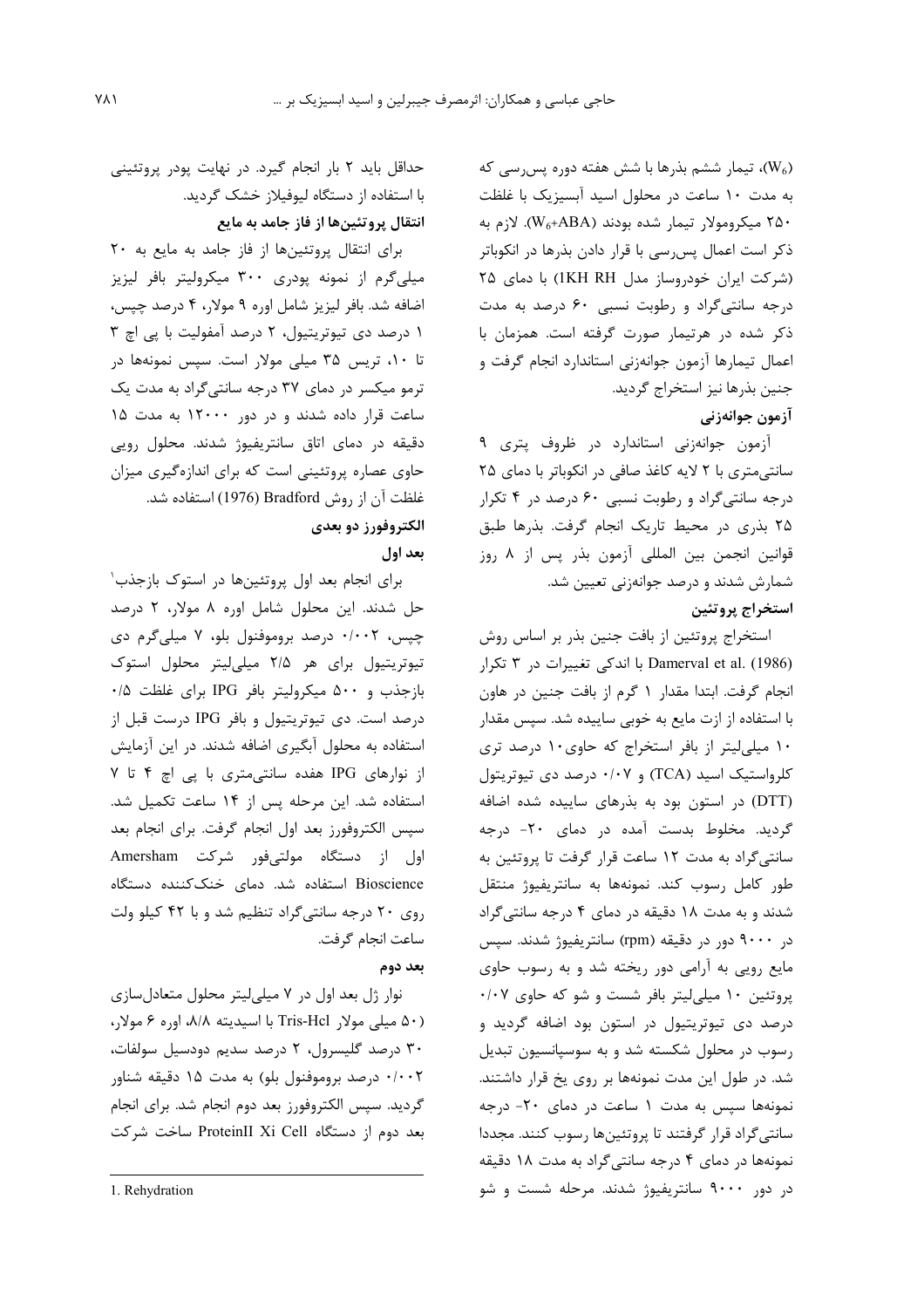ب تیمار ششم بذرها با شش هفته دوره پس رسی که $(W_6)$ به مدت ١٠ ساعت در محلول اسيد آبسيزيک با غلظت ۲۵۰ میکرومولار تیمار شده بودند (W<sub>6</sub>+ABA). لازم به ذکر است اعمال پس سی با قرار دادن بذرها در انکوباتر (شركت ايران خودروساز مدل IKH RH) با دماى ٢٥ درجه سانتی گراد و رطوبت نسبی ۶۰ درصد به مدت ذکر شده در هرتیمار صورت گرفته است. همزمان با اعمال تيمارها آزمون جوانهزني استاندارد انجام گرفت و جنين بذرها نيز استخراج گرديد.

## آزمون جوانهزني

آزمون جوانهزنی استاندارد در ظروف پتری ۹ سانتی متری با ۲ لایه کاغذ صافی در انکوباتر با دمای ۲۵ درجه سانتیگراد و رطوبت نسبی ۶۰ درصد در ۴ تکرار ۲۵ بذری در محیط تاریک انجام گرفت. بذرها طبق قوانین انجمن بین المللی آزمون بذر پس از ۸ روز شمارش شدند و درصد جوانهزنی تعیین شد. استخراج پروتئين

استخراج پروتئین از بافت جنین بذر بر اساس روش Damerval et al. (1986) با اندکی تغییرات در ۳ تکرار انجام گرفت. ابتدا مقدار ١ گرم از بافت جنين در هاون با استفاده از ازت مایع به خوبی ساییده شد. سپس مقدار ۱۰ میلی لیتر از بافر استخراج که حاوی ۱۰ درصد تری کلرواستیک اسید (TCA) و ۰/۰۷ درصد دی تیوتریتول (DTT) در استون بود به بذرهای ساییده شده اضافه گردید. مخلوط بدست آمده در دمای ۲۰- درجه سانتی گراد به مدت ۱۲ ساعت قرار گرفت تا پروتئین به طور کامل رسوب کند. نمونهها به سانتریفیوژ منتقل شدند و به مدت ۱۸ دقیقه در دمای ۴ درجه سانتیگراد در ۹۰۰۰ دور در دقیقه (rpm) سانتریفیوژ شدند. سپس مایع رویی به آرامی دور ریخته شد و به رسوب حاوی  $\cdot$ /۰۷ وتئین ۱۰ میلی لیتر بافر شست و شو که حاوی درصد دی تیوتریتیول در استون بود اضافه گردید و رسوب در محلول شکسته شد و به سوسپانسیون تبدیل شد. در طول این مدت نمونهها بر روی یخ قرار داشتند. نمونهها سیس به مدت ۱ ساعت در دمای ۲۰- درجه سانتی گراد قرار گرفتند تا پروتئینها رسوب کنند. مجددا نمونهها در دمای ۴ درجه سانتی گراد به مدت ۱۸ دقیقه در دور ۹۰۰۰ سانتریفیوژ شدند. مرحله شست و شو

حداقل باید ۲ بار انجام گیرد. در نهایت پودر پروتئینی با استفاده از دستگاه لیوفیلاز خشک گردید. انتقال پروتئینها از فاز جامد به مایع

برای انتقال پروتئینها از فاز جامد به مایع به ٢٠ میلی گرم از نمونه پودری ۳۰۰ میکرولیتر بافر لیزیز اضافه شد. بافر ليزيز شامل اوره ۹ مولار، ۴ درصد چپس، ۱ درصد دی تیوتریتیول، ۲ درصد آمفولیت با پی اچ ۳ تا ۱۰، تریس ۳۵ میلی مولار است. سپس نمونهها در ترمو میکسر در دمای ۳۷ درجه سانتی گراد به مدت یک ساعت قرار داده شدند و در دور ۱۲۰۰۰ به مدت ۱۵ دقیقه در دمای اتاق سانتریفیوژ شدند. محلول رویی حاوی عصاره پروتئینی است که برای اندازهگیری میزان غلظت آن از روش Bradford (1976) استفاده شد.

## الكتروفورز دو بعدي

بعد اول

برای انجام بعد اول پروتئینها در استوک بازجذب<sup>۱</sup> حل شدند. این محلول شامل اوره ۸ مولار، ۲ درصد چپس، ۰/۰۰۲ درصد بروموفنول بلو، ۷ میلیگرم دی تیوتریتیول برای هر ۲/۵ میلیلیتر محلول استوک بازجذب و ۵۰۰ میکرولیتر بافر IPG برای غلظت ۰/۵ درصد است. دی تیوتریتیول و بافر IPG درست قبل از استفاده به محلول آبگیری اضافه شدند. در این آزمایش از نوارهای IPG هفده سانتی متری با پی اچ ۴ تا ۷ استفاده شد. این مرحله پس از ۱۴ ساعت تکمیل شد. سپس الکتروفورز بعد اول انجام گرفت. برای انجام بعد اول از دستگاه مولتیفور شرکت Amersham Bioscience استفاده شد. دمای خنککننده دستگاه روی ۲۰ درجه سانتی گراد تنظیم شد و با ۴۲ کیلو ولت ساعت انجام گرفت.

بعد دوم

نوار ژل بعد اول در ۷ میلی لیتر محلول متعادل سازی (۵۰ میلی مولار Tris-Hcl با اسیدیته ۸/۸، اوره ۶ مولار، ۳۰ درصد گلیسرول، ۲ درصد سدیم دودسیل سولفات، ۰/۰۰۲ درصد بروموفنول بلو) به مدت ۱۵ دقیقه شناور گردید. سپس الکتروفورز بعد دوم انجام شد. برای انجام بعد دوم از دستگاه ProteinII Xi Cell ساخت شرکت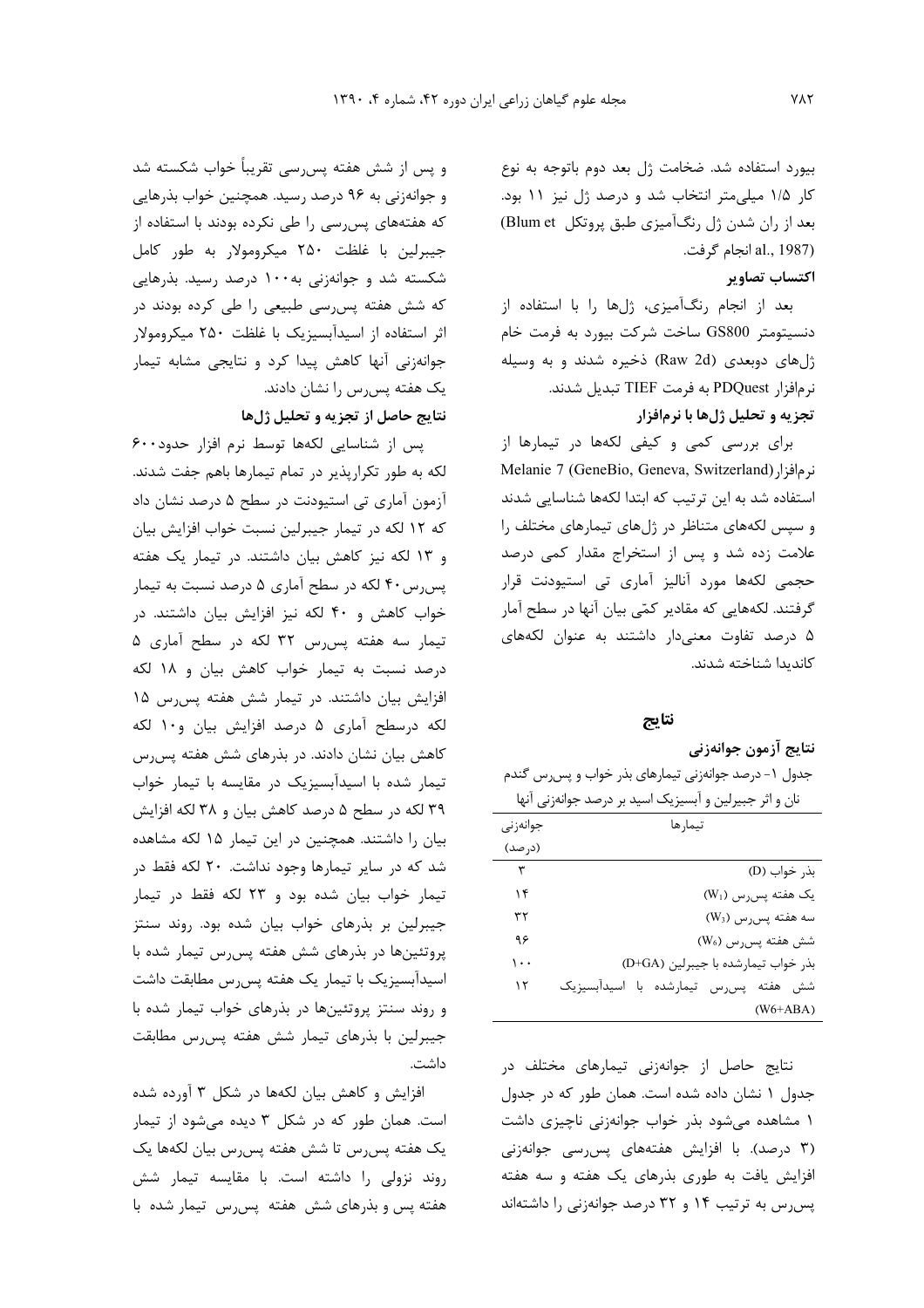بیورد استفاده شد. ضخامت ژل بعد دوم باتوجه به نوع كار ١/٥ ميلي متر انتخاب شد و درصد ژل نيز ١١ بود. بعد از ران شدن ژل رنگآمیزی طبق پروتکل Blum et) al., 1987) انجام گرفت.

## اكتساب تصاوير

بعد از انجام رنگآمیزی، ژلها را با استفاده از دنسیتومتر GS800 ساخت شرکت بیورد به فرمت خام ژلهای دوبعدی (Raw 2d) ذخیره شدند و به وسیله نر مافزار PDQuest به فرمت TIEF تبديل شدند. تجزیه و تحلیل ژلها با نرمافزار

برای بررسی کمی و کیفی لکهها در تیمارها از Melanie 7 (GeneBio, Geneva, Switzerland) نرمافزار استفاده شد به این ترتیب که ابتدا لکهها شناسایی شدند و سپس لکههای متناظر در ژلهای تیمارهای مختلف را علامت زده شد و پس از استخراج مقدار کمی درصد حجمی لکهها مورد آنالیز آماری تی استیودنت قرار گرفتند. لکههایی که مقادیر کمّی بیان آنها در سطح آمار ۵ درصد تفاوت معنى دار داشتند به عنوان لكههاى كانديدا شناخته شدند.

#### نتايج

#### نتايج ازمون جوانەزنى

جدول ۱- درصد جوانهزنی تیمارهای بذر خواب و پس رس گندم

|          | نان و اثر جبیرلین و آبسیزیک اسید بر درصد جوانهزنی آنها |
|----------|--------------------------------------------------------|
| جوانەزنى | تيمارها                                                |
| (د, صد)  |                                                        |
| ٣        | بذر خواب (D)                                           |
| ۱۴       | $(W_1)$ یک هفته پس رس                                  |
| ٣٢       | $(W_3)$ سه هفته پس $(W_4)$                             |
| ۹۶       | شش هفته پس رس (W <sub>6</sub> )                        |
| ۱۰۰      | بذر خواب تیمارشده با جیبرلین (D+GA)                    |
| ۱۲       | اسيدآبسيزيک<br>شش هفته پسررس تیمارشده                  |
|          | $(W6+ABA)$                                             |

نتایج حاصل از جوانهزنی تیمارهای مختلف در جدول ۱ نشان داده شده است. همان طور که در جدول ۱ مشاهده میشود بذر خواب جوانهزنی ناچیزی داشت (۳ درصد). با افزایش هفتههای پس رسی جوانهزنی افزایش یافت به طوری بذرهای یک هفته و سه هفته پس رس به ترتیب ۱۴ و ۳۲ درصد جوانهزنی را داشتهاند

و پس از شش هفته پس سی تقریباً خواب شکسته شد و جوانهزنی به ۹۶ درصد رسید. همچنین خواب بذرهایی که هفتههای پسرسی را طی نکرده بودند با استفاده از جیبرلین با غلظت ۲۵۰ میکرومولار به طور کامل شکسته شد و جوانهزنی به ۱۰۰ درصد رسید. بذرهایی که شش هفته پسرسی طبیعی را طی کرده بودند در اثر استفاده از اسیدآبسیزیک با غلظت ۲۵۰ میکرومولار جوانهزنی أنها کاهش پیدا کرد و نتایجی مشابه تیمار یک هفته پس رس را نشان دادند. نتايج حاصل از تجزيه و تحليل ژلها

پس از شناسایی لکهها توسط نرم افزار حدود۶۰۰ لکه به طور تکرارپذیر در تمام تیمارها باهم جفت شدند. آزمون آماری تی استیودنت در سطح ۵ درصد نشان داد که ۱۲ لکه در تیمار جیبرلین نسبت خواب افزایش بیان و ۱۳ لکه نیز کاهش بیان داشتند. در تیمار یک هفته پس٫رس ۴۰ لکه در سطح آماری ۵ درصد نسبت به تیمار خواب كاهش و ۴۰ لكه نيز افزايش بيان داشتند. در تیمار سه هفته پس رس ۳۲ لکه در سطح آماری ۵ درصد نسبت به تیمار خواب کاهش بیان و ۱۸ لکه افزایش بیان داشتند. در تیمار شش هفته پس رس ۱۵ لكه درسطح آماري ۵ درصد افزايش بيان و١٠ لكه کاهش بیان نشان دادند. در بذرهای شش هفته پس رس تیمار شده با اسیدآبسیزیک در مقایسه با تیمار خواب ۳۹ لکه در سطح ۵ درصد کاهش بیان و ۳۸ لکه افزایش بیان را داشتند. همچنین در این تیمار ۱۵ لکه مشاهده شد که در سایر تیمارها وجود نداشت. ۲۰ لکه فقط در تیمار خواب بیان شده بود و ۲۳ لکه فقط در تیمار جیبرلین بر بذرهای خواب بیان شده بود. روند سنتز پروتئینها در بذرهای شش هفته پسرس تیمار شده با اسیدآبسیزیک با تیمار یک هفته پسرس مطابقت داشت و روند سنتز پروتئینها در بذرهای خواب تیمار شده با جیبرلین با بذرهای تیمار شش هفته پس رس مطابقت داشت.

افزایش و کاهش بیان لکهها در شکل ۳ آورده شده است. همان طور که در شکل ۳ دیده میشود از تیمار يک هفته پس رس تا شش هفته پس رس بيان لکهها يک روند نزولی را داشته است. با مقایسه تیمار شش هفته پس و بذرهای شش هفته پسرس تیمار شده با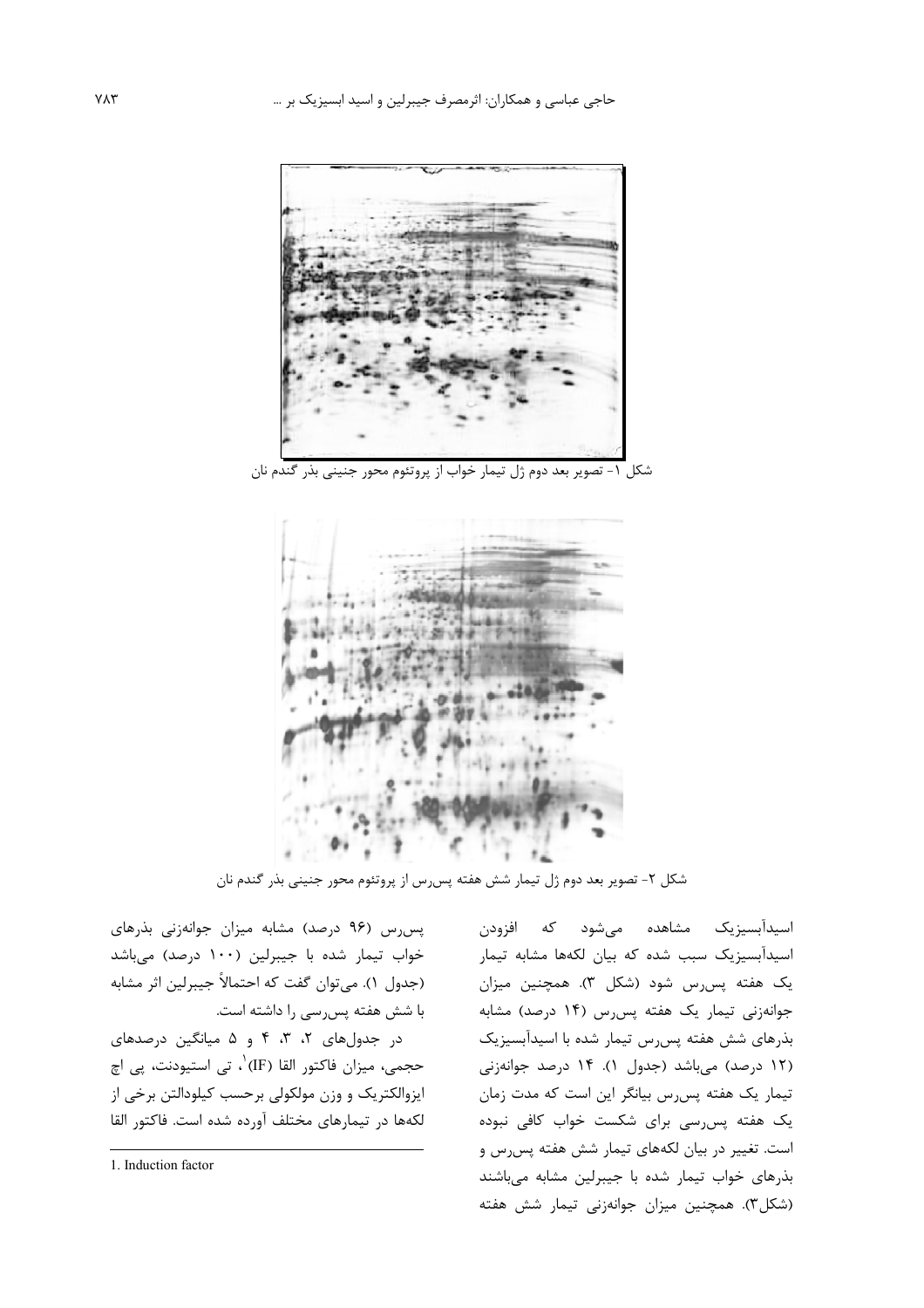

شکل ۱- تصویر بعد دوم ژل تیمار خواب از پروتئوم محور جنینی بذر گندم نان



شکل ۲- تصویر بعد دوم ژل تیمار شش هفته پس رس از پروتئوم محور جنینی بذر گندم نان

پس رس (۹۶ درصد) مشابه میزان جوانهزنی بذرهای خواب تیمار شده با جیبرلین (۱۰۰ درصد) میباشد (جدول ۱). می¤وان گفت که احتمالاً جیبرلین اثر مشابه با شش هفته پس رسی را داشته است.

در جدولهای ۲، ۳، ۴ و ۵ میانگین درصدهای حجمي، ميزان فاكتور القا (IF) ٰ، تي استيودنت، پي اچ ایزوالکتریک و وزن مولکولی برحسب کیلودالتن برخی از لكهها در تيمارهاى مختلف آورده شده است. فاكتور القا

اسیدآبسیزیک مشاهده میشود که افزودن اسیدآبسیزیک سبب شده که بیان لکهها مشابه تیمار یک هفته پس رس شود (شکل ۳). همچنین میزان جوانهزنی تیمار یک هفته پس رس (۱۴ درصد) مشابه بذرهای شش هفته پس رس تیمار شده با اسیدآبسیزیک (١٢ درصد) میباشد (جدول ١). ١۴ درصد جوانهزنی تیمار یک هفته پس رس بیانگر این است که مدت زمان یک هفته پس رسی برای شکست خواب کافی نبوده است. تغییر در بیان لکههای تیمار شش هفته پس رس و بذرهای خواب تیمار شده با جیبرلین مشابه میباشند (شکل٣). همچنین میزان جوانهزنی تیمار شش هفته

<sup>1.</sup> Induction factor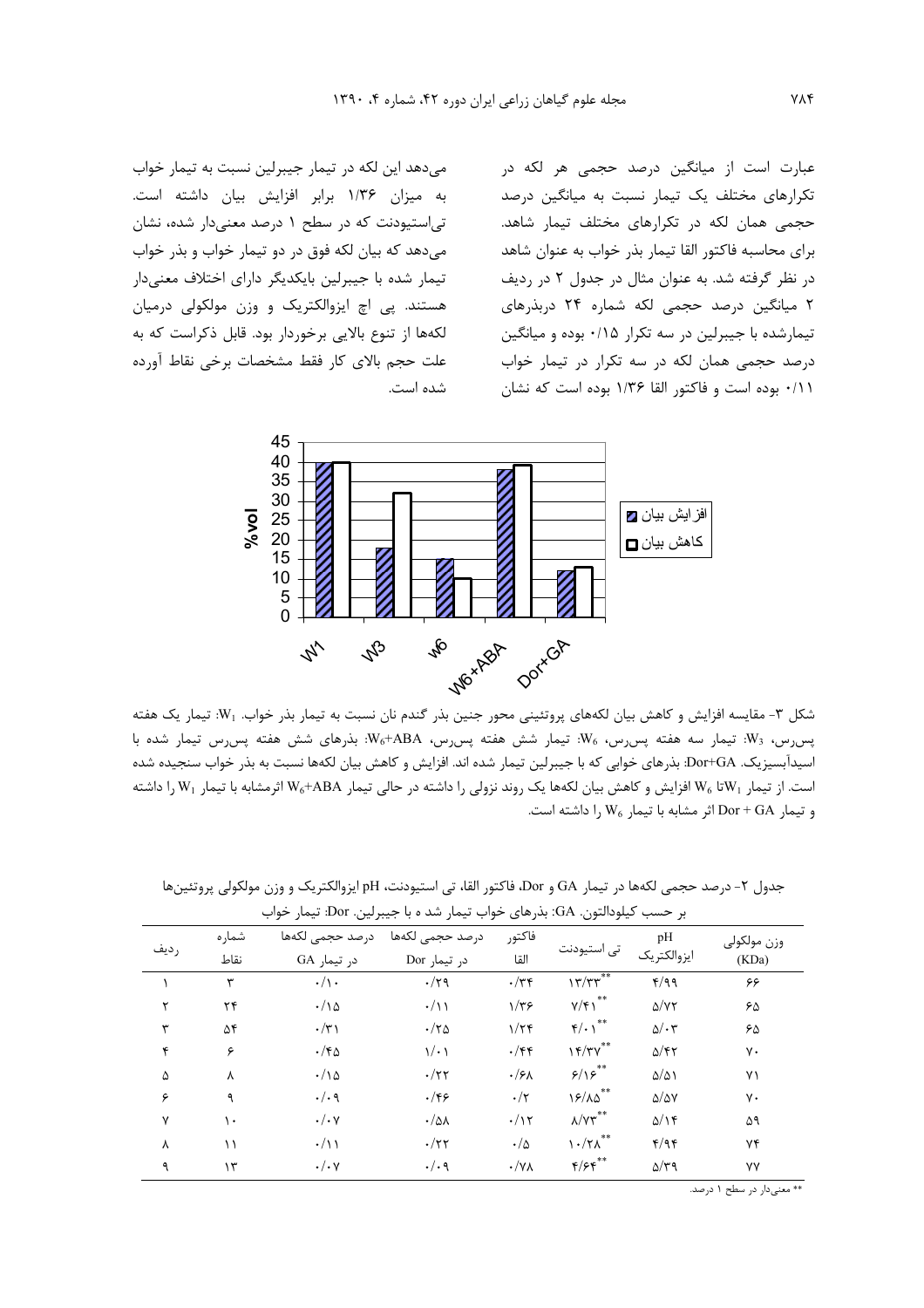می دهد این لکه در تیمار جیبرلین نسبت به تیمار خواب به میزان ۱/۳۶ برابر افزایش بیان داشته است. تی استیودنت که در سطح ۱ درصد معنیدار شده، نشان می دهد که بیان لکه فوق در دو تیمار خواب و بذر خواب تیمار شده با جیبرلین بایکدیگر دارای اختلاف معنیدار هستند. پی اچ ایزوالکتریک و وزن مولکولی درمیان لکهها از تنوع بالایی برخوردار بود. قابل ذکراست که به علت حجم بالای کار فقط مشخصات برخی نقاط آورده شده است. عبارت است از میانگین درصد حجمی هر لکه در تکرارهای مختلف یک تیمار نسبت به میانگین درصد حجمی همان لکه در تکرارهای مختلف تیمار شاهد. برای محاسبه فاکتور القا تیمار بذر خواب به عنوان شاهد در نظر گرفته شد. به عنوان مثال در جدول ۲ در ردیف ۲ میانگین درصد حجمی لکه شماره ۲۴ دربذرهای تیمارشده با جیبرلین در سه تکرار ۰/۱۵ بوده و میانگین درصد حجمی همان لکه در سه تکرار در تیمار خواب ۰/۱۱ بوده است و فاکتور القا ۱/۳۶ بوده است که نشان



شکل ۳- مقایسه افزایش و کاهش بیان لکههای پروتئینی محور جنین بذر گندم نان نسبت به تیمار بذر خواب. W1: تیمار یک هفته پسرس، W3: تیمار سه هفته پسرس، W<sub>6</sub>: تیمار شش هفته پسرس، W<sub>6</sub>+ABA: بذرهای شش هفته پسرس تیمار شده با اسیدآبسیزیک. Dor+GA: بذرهای خوابی که با جیبرلین تیمار شده اند. افزایش و کاهش بیان لکهها نسبت به بذر خواب سنجیده شده است. از تیمار W6 تا W6 افزایش و کاهش بیان لکهها یک روند نزولی را داشته در حالی تیمار W6+ABA اثرمشابه با تیمار W1 را داشته و تيمار Dor + GA اثر مشابه با تيمار W<sub>6</sub> را داشته است.

|      | بر حسب گیلودالتون. GA: بذرهای خواب تیمار شد ه با جیبرلین. Dor: تیمار خواب |                                |                                 |                       |                                   |                           |                      |  |  |  |
|------|---------------------------------------------------------------------------|--------------------------------|---------------------------------|-----------------------|-----------------------------------|---------------------------|----------------------|--|--|--|
| رديف | شماره<br>نقاط                                                             | درصد حجمى لكهها<br>در تیمار GA | درصد حجمى لكهها<br>در تیمار Dor | فاكتور<br>القا        | تی استیودنت                       | pH<br>ايزوالكتريك         | وزن مولكولى<br>(KDa) |  |  |  |
|      | ٣                                                                         | $\cdot/\rangle$ .              | $\cdot/\tau$ ۹                  | $\cdot/\tau$          | $17/TT^{**}$                      | f/q q                     | ۶۶                   |  |  |  |
| ۲    | ۲۴                                                                        | $\cdot/\gamma$                 | $\cdot/\rightarrow$             | $1/\tau$ ۶            | $Y/\mathfrak{f}$ $\mathfrak{f}^*$ | $\Delta/\Upsilon\Upsilon$ | ۶۵                   |  |  |  |
| ٣    | ۵۴                                                                        | $\cdot/\tau$                   | $\cdot/\tau$ s                  | $1/\tau$              | $f/\cdot \gamma^{**}$             | $\Delta/\cdot 7$          | ۶۵                   |  |  |  |
| ۴    | ۶                                                                         | $\cdot$ /۴۵                    | $\sqrt{\cdot}$                  | $\cdot$ /۴۴           | 15/77                             | $\Delta$ /۴۲              | γ٠                   |  |  |  |
| ۵    | λ                                                                         | $\cdot/\wedge \vartriangle$    | $\cdot/\tau\tau$                | $\cdot$ /۶۸           | 5/15                              | $\Delta/\Delta$           | ٧١                   |  |  |  |
| ۶    | ٩                                                                         | $\cdot/\cdot$ 9                | $\cdot$ /۴۶                     | $\cdot/\tau$          | $15/\lambda\Delta$                | $\Delta/\Delta V$         | γ٠                   |  |  |  |
| Y    | ۱۰                                                                        | $\cdot/\cdot$ Y                | $\cdot/\omega$                  | $\cdot/\gamma$        | $\lambda/\Upsilon\tau^{**}$       | $\Delta/\Gamma$           | ۵۹                   |  |  |  |
| ٨    | ۱۱                                                                        | $\cdot/\rightarrow$            | $\cdot/\tau\tau$                | $\cdot/\Delta$        | $\lambda \cdot / \gamma \lambda$  | f/qf                      | ۷۴                   |  |  |  |
| ٩    | ۱۳                                                                        | $\cdot/\cdot$ Y                | $\cdot/\cdot$ 9                 | $\cdot/\gamma\Lambda$ | $F/Ff^{\ast\ast}$                 | $\Delta/\tau$ 9           | ٧٧                   |  |  |  |

جدول ۲- درصد حجمی لکهها در تیمار GA و Dor، فاکتور القا، تی استیودنت، pH ایزوالکتریک و وزن مولکولی پروتئینها

 $Y\Lambda f$ 

\*\* معنىدار در سطح ۱ درصد.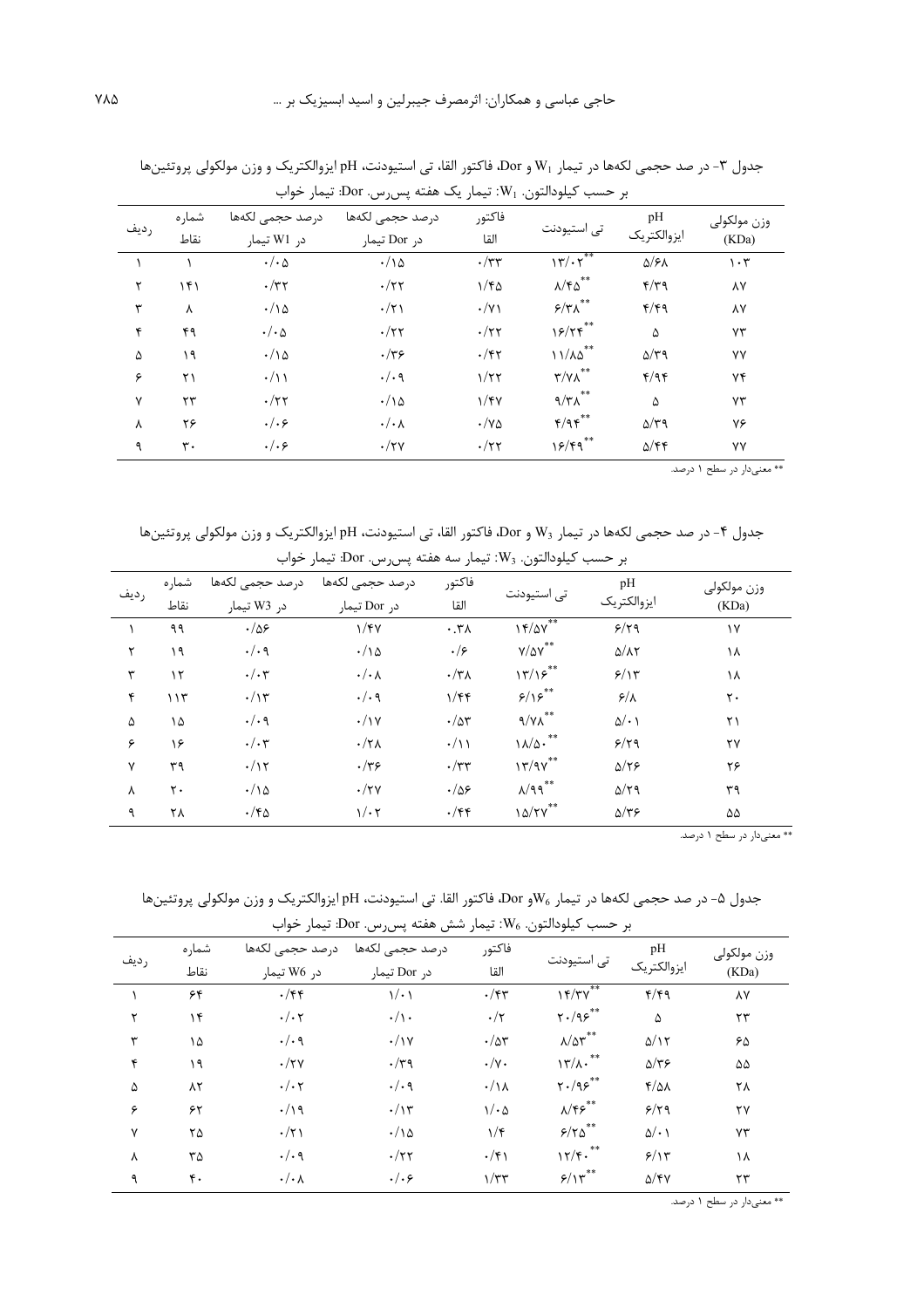| رديف | شماره<br>نقاط | درصد حجمى لكهها<br>در W1 تیمار | درصد حجمى لكهها<br>در Dor تیمار | فاكتور<br>القا           | تی استیودنت                                   | pH<br>ايزوالكتريك     | وزن مولكولي<br>(KDa)            |
|------|---------------|--------------------------------|---------------------------------|--------------------------|-----------------------------------------------|-----------------------|---------------------------------|
|      |               | $\cdot/\cdot$ $\Delta$         | $\cdot/\wedge \Delta$           | $\cdot/\tau\tau$         | 17/17                                         | $\Delta$ /۶ $\Lambda$ | $\mathcal{N} \cdot \mathcal{N}$ |
| ٢    | ۱۴۱           | $\cdot/\tau\tau$               | $\cdot/\tau\tau$                | $1/f\Delta$              | $\lambda/\mathfrak{k}\Delta^{**}$             | $f/\tau$              | ٨Y                              |
| ٣    | Υ             | $\cdot/\iota$                  | $\cdot/\tau$                    | $\cdot/\gamma$           | $\mathfrak{s}/\mathfrak{r} \wedge^{\ast\ast}$ | f/fq                  | ۸۷                              |
| ۴    | ۴۹            | $\cdot/\cdot \Delta$           | $\cdot/\tau\tau$                | $\cdot/\tau\tau$         | 15/75                                         | ۵                     | ٧٣                              |
| ۵    | ۱۹            | $\cdot/\wedge \Delta$          | $\cdot/\tau$ ۶                  | $\cdot$ /۴۲              | $11/\lambda\Delta$ **                         | $\Delta/\tau$ 9       | ٧٧                              |
| ۶    | ۲۱            | $\cdot/\rightarrow$            | $\cdot/\cdot$ 9                 | $1/\tau\tau$             | $\mathbf{r}/\mathbf{v}\Lambda^{**}$           | f/qf                  | ٧۴                              |
| ٧    | ٢٣            | $\cdot/\tau\tau$               | $\cdot/\gamma$                  | 1/fV                     | $9/\tau$ ۸ $^{**}$                            | ۵                     | ٧٣                              |
| λ    | ۲۶            | . / . 9                        | $\cdot/\cdot$ $\wedge$          | $\cdot/\mathsf{v}\Delta$ | $Y$ /9 $Y^*$                                  | $\Delta/\tau$ ۹       | ٧۶                              |
| ٩    | ٣.            | . / . 9                        | $\cdot/\tau$ y                  | $\cdot/\tau\tau$         | $19/9$ **                                     | $\Delta$ /۴۴          | ٧٧                              |

جدول ٣- در صد حجمي لكهها در تيمار W1 و Dor، فاكتور القا، تي استيودنت، pH ايزوالكتريك و وزن مولكولي پروتئينها بر حسب کیلودالتون. W1: تیمار یک هفته پس س. Dor: تیمار خواب

\*\* معنىدار در سطح ۱ درصد.

جدول ۴- در صد حجمي لكهها در تيمار W3 و Dor، فاكتور القا، تي استيودنت، pH ايزوالكتريك و وزن مولكولي پروتئينها

| بر حسب كيلودالتون. W3: تيمار سه هفته پس رس. Dor: تيمار خواب |                   |                             |                        |                              |                         |                            |             |  |  |
|-------------------------------------------------------------|-------------------|-----------------------------|------------------------|------------------------------|-------------------------|----------------------------|-------------|--|--|
| رديف                                                        | شمار ه            | درصد حجمى لكهها             | درصد حجمى لكهها        | فاكتور                       |                         | pH                         | وزن مولكولي |  |  |
|                                                             | نقاط              | در W3 تیمار                 | در Dor تیمار           | القا                         | تى استيودنت             | ايزوالكتريك                | (KDa)       |  |  |
|                                                             | ۹۹                | $\cdot/\Delta$ ۶            | 1/fV                   | $\cdot$ . $\mathsf{r}\wedge$ | $15/2V^*$               | 9/79                       | ١٧          |  |  |
| ٢                                                           | ۱۹                | $\cdot/\cdot$ 9             | $\cdot/\gamma$         | . / 5                        | $Y/\Delta V^{\ast\ast}$ | $\Delta/\Lambda\tau$       | ۱۸          |  |  |
| ٣                                                           | $\gamma$          | $\cdot/\cdot$ ۳             | $\cdot/\cdot$ $\wedge$ | $\cdot/\tau_{\Lambda}$       | $\frac{17}{25}$         | 5/15                       | ۱۸          |  |  |
| ۴                                                           | ۱۱۳               | $\cdot/\gamma$              | $\cdot/\cdot$ 9        | 1/ff                         | 5/15                    | $\frac{\epsilon}{\lambda}$ | ٢٠          |  |  |
| ۵                                                           | ۱۵                | $\cdot/\cdot$ 9             | $\cdot/\gamma$         | $\cdot/\Delta\tau$           | $9/\gamma\Lambda^{**}$  | $\Delta/\cdot$ )           | ۲۱          |  |  |
| ۶                                                           | ۱۶                | $\cdot/\cdot$ ۳             | $\cdot/\tau$           | $\cdot/\rightarrow$          | $1\lambda/\Delta$ .**   | 9/79                       | ۲٧          |  |  |
| ٧                                                           | ٣٩                | $\cdot/\gamma$              | $\cdot/\tau$ ۶         | $\cdot/\tau\tau$             | $17/9V^{**}$            | $\Delta/\tau$              | ۲۶          |  |  |
| γ                                                           | $\mathsf{r}\cdot$ | $\cdot/\wedge \vartriangle$ | $\cdot/\tau$ y         | $\cdot/\Delta$ ۶             | $\lambda$ /٩٩**         | $\Delta/\tau$ 9            | ۳۹          |  |  |
| ٩                                                           | ۲۸                | $\cdot$ /۴۵                 | $1/\cdot 7$            | $\cdot$ /۴۴                  | $10/Y^{\ast\ast}$       | $\Delta/\tau$ ۶            | ۵۵          |  |  |

\*\* معنیدار در سطح ۱ درصد.

جدول ۵- در صد حجمي لكهها در تيمار √Wو Dor، فاكتور القا. تي استيودنت، pH إيزوالكتريك و وزن مولكولي پروتئينها بر حسب كيلودالتون. W<sub>6</sub>: تيمار شش هفته پس س. Dor: تيمار خواب

| رديف | شماره<br>نقاط | درصد حجمى لكهها<br>در W6 تیمار | درصد حجمى لكهها<br>در Dor تيمار | فاكتور<br>القا       | تی استیودنت                                  | pH<br>ايزوالكتريك | وزن مولكولي<br>(KDa) |
|------|---------------|--------------------------------|---------------------------------|----------------------|----------------------------------------------|-------------------|----------------------|
|      | ۶۴            | $\cdot$ /۴۴                    | $\sqrt{\cdot}$                  | $\cdot$ /۴۳          | $15/TV^*$                                    | f/f               | ٨Y                   |
| ۲    | ۱۴            | $\cdot/\cdot \tau$             | $\cdot/\rangle$ .               | $\cdot/\tau$         | $\gamma$ ./9 $\varphi^{**}$                  | ۵                 | ٢٣                   |
| ٣    | ۱۵            | $\cdot/\cdot$ 9                | $\cdot/\gamma$                  | $\cdot/\Delta r$     | $\lambda/\Delta\tau^{**}$                    | $\Delta/\Gamma$   | ۶۵                   |
| ۴    | ۱۹            | $\cdot/\tau$ y                 | $\cdot/\tau$ ۹                  | $\cdot/\gamma$ .     | **<br>$17/\lambda$ .                         | $\Delta/\tau$ ۶   | ۵۵                   |
| ۵    | $\lambda$ ٢   | $\cdot/\cdot \tau$             | $\cdot/\cdot$ 9                 | $\cdot/\lambda$      | $\mathbf{Y} \cdot \mathbf{X}$ ، $\mathbf{X}$ | $f/\Delta\lambda$ | ۲۸                   |
| ۶    | ۶۲            | $\cdot/\gamma$                 | $\cdot/\gamma$                  | $1/\cdot \Delta$     | $\lambda/\mathfrak{f}\mathfrak{s}^{**}$      | 9/79              | ۲٧                   |
| ٧    | ٢۵            | $\cdot/\tau$                   | $\cdot/\wedge \vartriangle$     | $1/\mathfrak{r}$     | $5/70$ **                                    | $\Delta/\cdot$ )  | ٧٣                   |
| λ    | ٣۵            | $\cdot/\cdot$ 9                | $\cdot/\tau\tau$                | $\cdot/\mathfrak{f}$ | $17/F.$ **                                   | 9/15              | ۱۸                   |
| ٩    | ۴٠            | $\cdot/\cdot$ $\wedge$         | . / . 5                         | $\gamma/\tau$ ۳      | $5/10^{**}$                                  | $\Delta$ /۴۷      | ٢٣                   |

\*\* معنىدار در سطح ۱ درصد.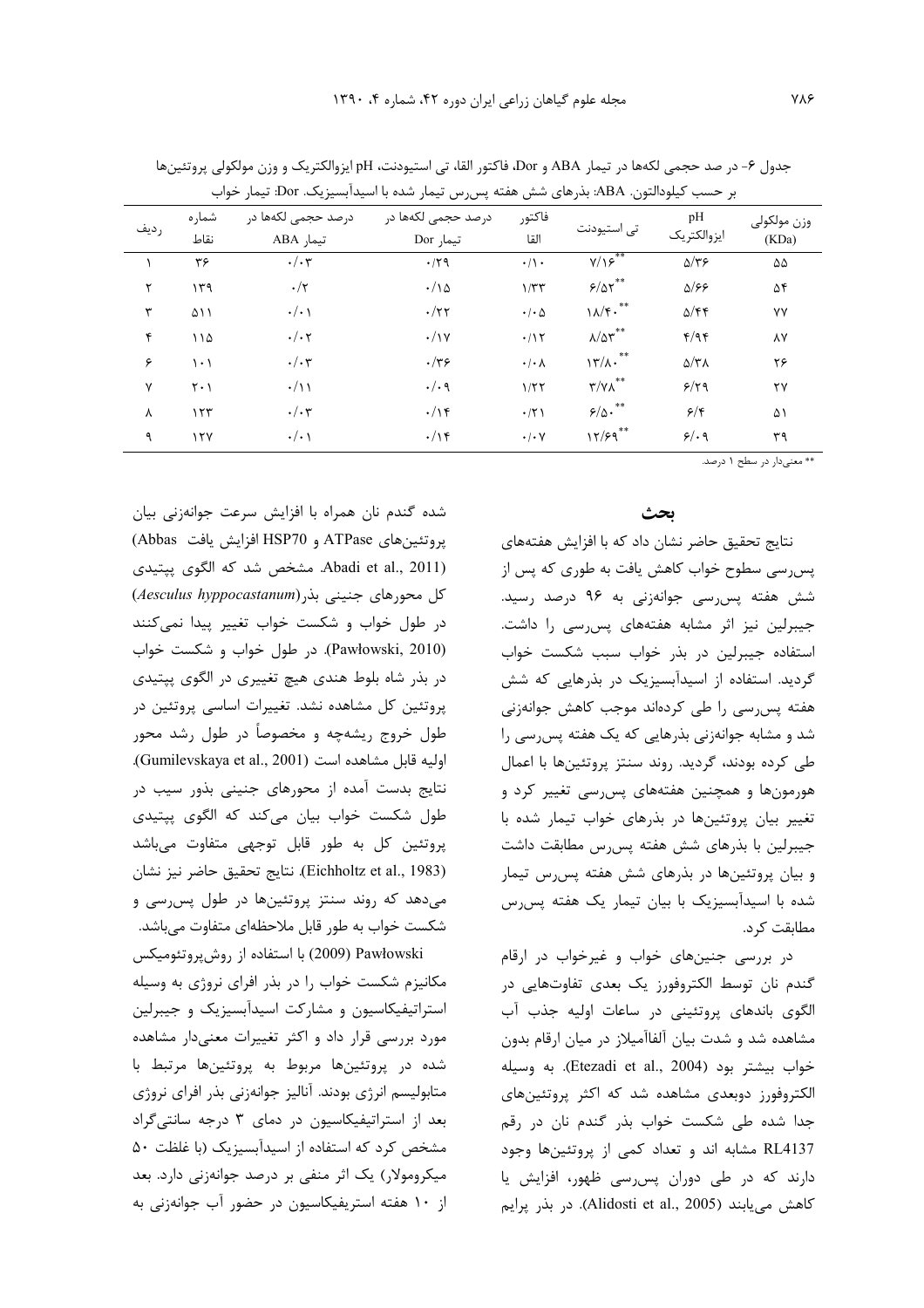|      | بر حسب دیلودالتون. ABA: بدرهای شش هفته پسررس بیمار شده با اسیدابسیزیک. DOI: بیمار حواب |                                 |                                 |                            |                             |                           |                      |  |  |  |
|------|----------------------------------------------------------------------------------------|---------------------------------|---------------------------------|----------------------------|-----------------------------|---------------------------|----------------------|--|--|--|
| رديف | شما, ہ<br>نقاط                                                                         | درصد حجمی لکهها در<br>تيمار ABA | درصد حجمی لکهها در<br>تیمار Dor | فاكتور<br>القا             | تی استیودنت                 | pН<br>ايزوالكتريك         | وزن مولكولي<br>(KDa) |  |  |  |
|      | ٣۶                                                                                     | $\cdot/\cdot$ ۳                 | .79                             | $\cdot/\cdot$              | $Y/\sqrt{2}$                | $\Delta/\tau$ ۶           | ۵۵                   |  |  |  |
|      | ۱۳۹                                                                                    | $\cdot/\tau$                    | $\cdot/\gamma$                  | 1/TT                       | $5/87$ **                   | $\Delta$ /۶۶              | ۵۴                   |  |  |  |
| ٣    | ۵۱۱                                                                                    | $\cdot/\cdot$                   | $\cdot/\tau\tau$                | $\cdot$ / $\cdot$ $\Delta$ | $11/5$ .                    | $\Delta$ /۴۴              | ٧Y                   |  |  |  |
| ۴    | 110                                                                                    | $\cdot/\cdot \tau$              | $\cdot/\gamma$                  | .115                       | $\lambda/\Delta r^{**}$     | f/qf                      | ٨Y                   |  |  |  |
| ۶    | ۱۰۱                                                                                    | $\cdot/\cdot$ ۳                 | $\cdot/\tau$ ۶                  | $\cdot/\cdot \wedge$       | $\mathcal{N}/\mathcal{N}$ . | $\Delta/\tau\Lambda$      | ۲۶                   |  |  |  |
| ٧    | $Y \cdot 1$                                                                            | $\cdot/\gamma$                  | $\cdot/\cdot$ 9                 | 1/57                       | $\mathbf{r}/\mathbf{v}$     | 9/79                      | ۲۷                   |  |  |  |
| λ    | 157                                                                                    | $\cdot/\cdot$ ۳                 | $\cdot/\gamma$                  | .71                        | $5/0 \cdot 10^{-4}$         | $\mathcal{S}/\mathcal{S}$ | ۵۱                   |  |  |  |
|      | $\sqrt{V}$                                                                             | $\cdot/\cdot$                   | .19                             | $\cdot$ / $\cdot$ $\vee$   | $15/9^{**}$                 | 9/19                      | ۳۹                   |  |  |  |

جدول ۶- در صد حجمي لكهها در تيمار ABA و Dor، فاكتور القا، تي استيودنت، pH إيزوالكتريك و وزن مولكولي پروتئينها

۔ \*\* معنیدار در سطح ۱ درصد.

## بحث

نتایج تحقیق حاضر نشان داد که با افزایش هفتههای پس رسی سطوح خواب کاهش یافت به طوری که پس از شش هفته پس رسی جوانهزنی به ۹۶ درصد رسید. جیبرلین نیز اثر مشابه هفتههای پس رسی را داشت. استفاده جیبرلین در بذر خواب سبب شکست خواب گردید. استفاده از اسیدآبسیزیک در بذرهایی که شش هفته پس رسی را طی کردهاند موجب کاهش جوانهزنی شد و مشابه جوانهزنی بذرهایی که یک هفته پس رسی را طی کرده بودند، گردید. روند سنتز پروتئینها با اعمال هورمونها و همچنین هفتههای پس ِسے تغییر کرد و تغییر بیان پروتئینها در بذرهای خواب تیمار شده با جیبرلین با بذرهای شش هفته پس رس مطابقت داشت و بیان پروتئینها در بذرهای شش هفته پس رس تیمار شده با اسیدآبسیزیک با بیان تیمار یک هفته پس رس مطابقت کر د.

در بررسی جنینهای خواب و غیرخواب در ارقام گندم نان توسط الکتروفورز یک بعدی تفاوتهایی در الگوی باندهای پروتئینی در ساعات اولیه جذب آب مشاهده شد و شدت بیان آلفاآمیلاز در میان ارقام بدون خواب بيشتر بود (Etezadi et al., 2004). به وسيله الکتروفورز دوبعدی مشاهده شد که اکثر پروتئینهای جدا شده طی شکست خواب بذر گندم نان در رقم RL4137 مشابه اند و تعداد کمی از پروتئینها وجود دارند که در طی دوران پس رسی ظهور، افزایش یا كاهش مى يابند (Alidosti et al., 2005). در بذر يرايم

شده گندم نان همراه با افزایش سرعت جوانهزنی بیان پروتئینهای ATPase و HSP70 افزایش یافت Abbas) Abadi et al., 2011). مشخص شد كه الگوى پپتيدى کل محورهای جنینی بذر (Aesculus hyppocastanum) در طول خواب و شکست خواب تغییر پیدا نمیکنند (Pawłowski, 2010). در طول خواب و شکست خواب در بذر شاه بلوط هندي هيچ تغييري در الگوي پپتيدي پروتئین کل مشاهده نشد. تغییرات اساسی پروتئین در طول خروج ریشهچه و مخصوصاً در طول رشد محور اوليه قابل مشاهده است (Gumilevskaya et al., 2001). نتایج بدست آمده از محورهای جنینی بذور سیب در طول شکست خواب بیان می کند که الگوی پیتیدی پروتئین کل به طور قابل توجهی متفاوت میباشد (Eichholtz et al., 1983). نتايج تحقيق حاضر نيز نشان میدهد که روند سنتز پروتئینها در طول پس رسی و شکست خواب به طور قابل ملاحظهای متفاوت میباشد.

Pawłowski (2009) با استفاده از روشپروتئومیکس مکانیزم شکست خواب را در بذر افرای نروژی به وسیله استراتیفیکاسیون و مشارکت اسیدآبسیزیک و جیبرلین مورد بررسی قرار داد و اکثر تغییرات معنیدار مشاهده شده در پروتئینها مربوط به پروتئینها مرتبط با متابولیسم انرژی بودند. آنالیز جوانهزنی بذر افرای نروژی بعد از استراتیفیکاسیون در دمای ۳ درجه سانتیگراد مشخص کرد که استفاده از اسیدآبسیزیک (با غلظت ۵۰ میکرومولار) یک اثر منفی بر درصد جوانهزنی دارد. بعد از ۱۰ هفته استریفیکاسیون در حضور آب جوانهزنی به